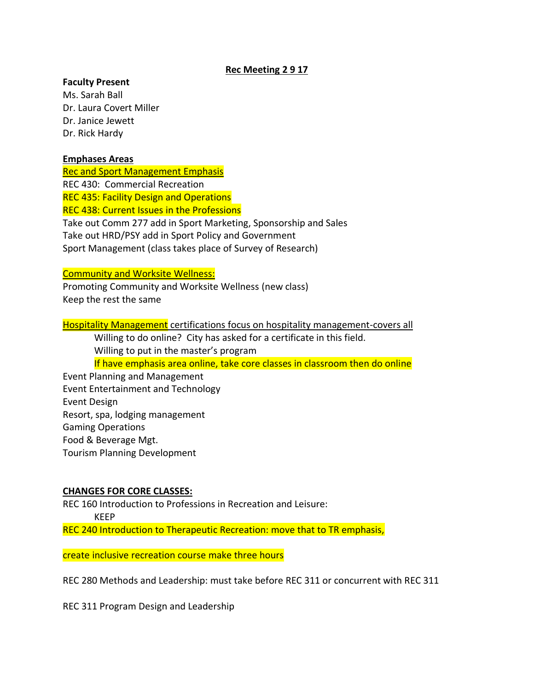# **Rec Meeting 2 9 17**

## **Faculty Present**

Ms. Sarah Ball Dr. Laura Covert Miller Dr. Janice Jewett Dr. Rick Hardy

### **Emphases Areas**

Rec and Sport Management Emphasis REC 430: Commercial Recreation REC 435: Facility Design and Operations REC 438: Current Issues in the Professions Take out Comm 277 add in Sport Marketing, Sponsorship and Sales Take out HRD/PSY add in Sport Policy and Government Sport Management (class takes place of Survey of Research)

### Community and Worksite Wellness:

Promoting Community and Worksite Wellness (new class) Keep the rest the same

Hospitality Management certifications focus on hospitality management-covers all Willing to do online? City has asked for a certificate in this field. Willing to put in the master's program If have emphasis area online, take core classes in classroom then do online Event Planning and Management Event Entertainment and Technology Event Design Resort, spa, lodging management Gaming Operations Food & Beverage Mgt. Tourism Planning Development

# **CHANGES FOR CORE CLASSES:**

REC 160 Introduction to Professions in Recreation and Leisure: KEEP

REC 240 Introduction to Therapeutic Recreation: move that to TR emphasis,

create inclusive recreation course make three hours

REC 280 Methods and Leadership: must take before REC 311 or concurrent with REC 311

REC 311 Program Design and Leadership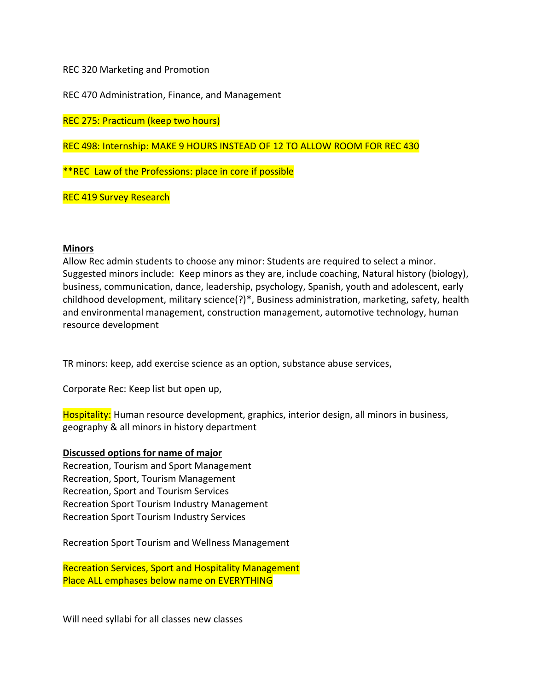REC 320 Marketing and Promotion

REC 470 Administration, Finance, and Management

REC 275: Practicum (keep two hours)

REC 498: Internship: MAKE 9 HOURS INSTEAD OF 12 TO ALLOW ROOM FOR REC 430

\*\*REC Law of the Professions: place in core if possible

REC 419 Survey Research

### **Minors**

Allow Rec admin students to choose any minor: Students are required to select a minor. Suggested minors include: Keep minors as they are, include coaching, Natural history (biology), business, communication, dance, leadership, psychology, Spanish, youth and adolescent, early childhood development, military science(?)\*, Business administration, marketing, safety, health and environmental management, construction management, automotive technology, human resource development

TR minors: keep, add exercise science as an option, substance abuse services,

Corporate Rec: Keep list but open up,

Hospitality: Human resource development, graphics, interior design, all minors in business, geography & all minors in history department

### **Discussed options for name of major**

Recreation, Tourism and Sport Management Recreation, Sport, Tourism Management Recreation, Sport and Tourism Services Recreation Sport Tourism Industry Management Recreation Sport Tourism Industry Services

Recreation Sport Tourism and Wellness Management

Recreation Services, Sport and Hospitality Management Place ALL emphases below name on EVERYTHING

Will need syllabi for all classes new classes